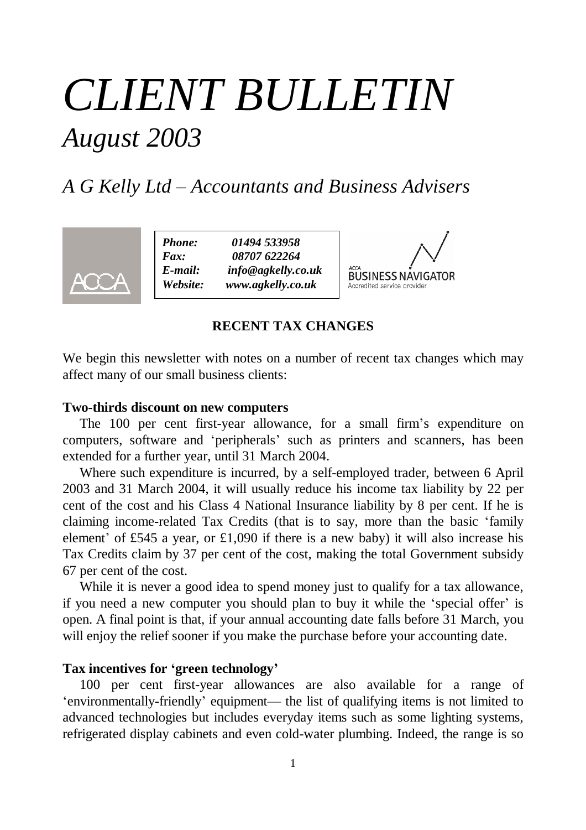# *CLIENT BULLETIN August 2003*

# *A G Kelly Ltd – Accountants and Business Advisers*



*Phone: 01494 533958 Fax: 08707 622264 E-mail: info@agkelly.co.uk Website: www.agkelly.co.uk*



## **RECENT TAX CHANGES**

We begin this newsletter with notes on a number of recent tax changes which may affect many of our small business clients:

#### **Two-thirds discount on new computers**

The 100 per cent first-year allowance, for a small firm's expenditure on computers, software and 'peripherals' such as printers and scanners, has been extended for a further year, until 31 March 2004.

Where such expenditure is incurred, by a self-employed trader, between 6 April 2003 and 31 March 2004, it will usually reduce his income tax liability by 22 per cent of the cost and his Class 4 National Insurance liability by 8 per cent. If he is claiming income-related Tax Credits (that is to say, more than the basic 'family element' of £545 a year, or £1,090 if there is a new baby) it will also increase his Tax Credits claim by 37 per cent of the cost, making the total Government subsidy 67 per cent of the cost.

While it is never a good idea to spend money just to qualify for a tax allowance, if you need a new computer you should plan to buy it while the 'special offer' is open. A final point is that, if your annual accounting date falls before 31 March, you will enjoy the relief sooner if you make the purchase before your accounting date.

# **Tax incentives for 'green technology'**

100 per cent first-year allowances are also available for a range of 'environmentally-friendly' equipment— the list of qualifying items is not limited to advanced technologies but includes everyday items such as some lighting systems, refrigerated display cabinets and even cold-water plumbing. Indeed, the range is so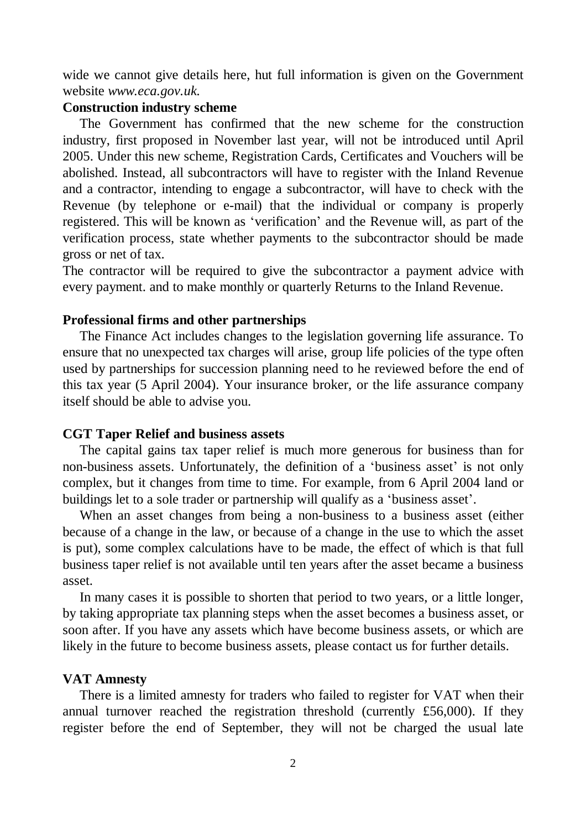wide we cannot give details here, hut full information is given on the Government website *www.eca.gov.uk.*

## **Construction industry scheme**

The Government has confirmed that the new scheme for the construction industry, first proposed in November last year, will not be introduced until April 2005. Under this new scheme, Registration Cards, Certificates and Vouchers will be abolished. Instead, all subcontractors will have to register with the Inland Revenue and a contractor, intending to engage a subcontractor, will have to check with the Revenue (by telephone or e-mail) that the individual or company is properly registered. This will be known as 'verification' and the Revenue will, as part of the verification process, state whether payments to the subcontractor should be made gross or net of tax.

The contractor will be required to give the subcontractor a payment advice with every payment. and to make monthly or quarterly Returns to the Inland Revenue.

#### **Professional firms and other partnerships**

The Finance Act includes changes to the legislation governing life assurance. To ensure that no unexpected tax charges will arise, group life policies of the type often used by partnerships for succession planning need to he reviewed before the end of this tax year (5 April 2004). Your insurance broker, or the life assurance company itself should be able to advise you.

#### **CGT Taper Relief and business assets**

The capital gains tax taper relief is much more generous for business than for non-business assets. Unfortunately, the definition of a 'business asset' is not only complex, but it changes from time to time. For example, from 6 April 2004 land or buildings let to a sole trader or partnership will qualify as a 'business asset'.

When an asset changes from being a non-business to a business asset (either because of a change in the law, or because of a change in the use to which the asset is put), some complex calculations have to be made, the effect of which is that full business taper relief is not available until ten years after the asset became a business asset.

In many cases it is possible to shorten that period to two years, or a little longer, by taking appropriate tax planning steps when the asset becomes a business asset, or soon after. If you have any assets which have become business assets, or which are likely in the future to become business assets, please contact us for further details.

#### **VAT Amnesty**

There is a limited amnesty for traders who failed to register for VAT when their annual turnover reached the registration threshold (currently £56,000). If they register before the end of September, they will not be charged the usual late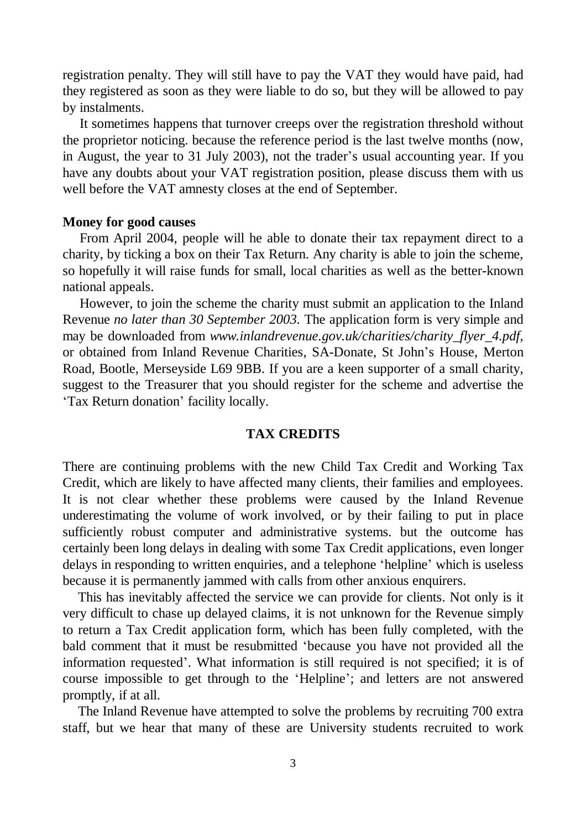registration penalty. They will still have to pay the VAT they would have paid, had they registered as soon as they were liable to do so, but they will be allowed to pay by instalments.

It sometimes happens that turnover creeps over the registration threshold without the proprietor noticing. because the reference period is the last twelve months (now, in August, the year to 31 July 2003), not the trader's usual accounting year. If you have any doubts about your VAT registration position, please discuss them with us well before the VAT amnesty closes at the end of September.

#### **Money for good causes**

From April 2004, people will he able to donate their tax repayment direct to a charity, by ticking a box on their Tax Return. Any charity is able to join the scheme, so hopefully it will raise funds for small, local charities as well as the better-known national appeals.

However, to join the scheme the charity must submit an application to the Inland Revenue *no later than 30 September 2003.* The application form is very simple and may be downloaded from *www.inlandrevenue.gov.uk/charities/charity\_flyer\_4.pdf,* or obtained from Inland Revenue Charities, SA-Donate, St John's House, Merton Road, Bootle, Merseyside L69 9BB. If you are a keen supporter of a small charity, suggest to the Treasurer that you should register for the scheme and advertise the 'Tax Return donation' facility locally.

#### **TAX CREDITS**

There are continuing problems with the new Child Tax Credit and Working Tax Credit, which are likely to have affected many clients, their families and employees. It is not clear whether these problems were caused by the Inland Revenue underestimating the volume of work involved, or by their failing to put in place sufficiently robust computer and administrative systems. but the outcome has certainly been long delays in dealing with some Tax Credit applications, even longer delays in responding to written enquiries, and a telephone 'helpline' which is useless because it is permanently jammed with calls from other anxious enquirers.

This has inevitably affected the service we can provide for clients. Not only is it very difficult to chase up delayed claims, it is not unknown for the Revenue simply to return a Tax Credit application form, which has been fully completed, with the bald comment that it must be resubmitted 'because you have not provided all the information requested'. What information is still required is not specified; it is of course impossible to get through to the 'Helpline'; and letters are not answered promptly, if at all.

The Inland Revenue have attempted to solve the problems by recruiting 700 extra staff, but we hear that many of these are University students recruited to work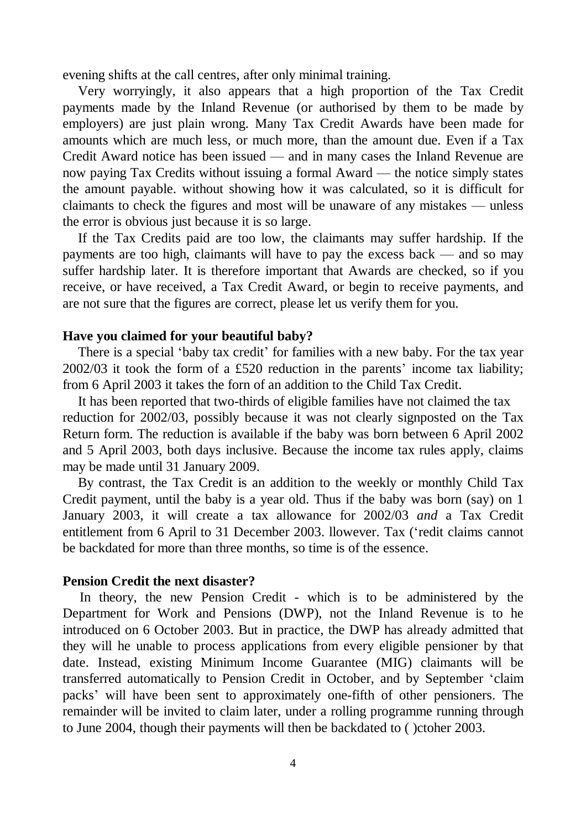evening shifts at the call centres, after only minimal training.

Very worryingly, it also appears that a high proportion of the Tax Credit payments made by the Inland Revenue (or authorised by them to be made by employers) are just plain wrong. Many Tax Credit Awards have been made for amounts which are much less, or much more, than the amount due. Even if a Tax Credit Award notice has been issued — and in many cases the Inland Revenue are now paying Tax Credits without issuing a formal Award — the notice simply states the amount payable. without showing how it was calculated, so it is difficult for claimants to check the figures and most will be unaware of any mistakes — unless the error is obvious just because it is so large.

If the Tax Credits paid are too low, the claimants may suffer hardship. If the payments are too high, claimants will have to pay the excess back — and so may suffer hardship later. It is therefore important that Awards are checked, so if you receive, or have received, a Tax Credit Award, or begin to receive payments, and are not sure that the figures are correct, please let us verify them for you.

#### **Have you claimed for your beautiful baby?**

There is a special 'baby tax credit' for families with a new baby. For the tax year 2002/03 it took the form of a £520 reduction in the parents' income tax liability; from 6 April 2003 it takes the forn of an addition to the Child Tax Credit.

It has been reported that two-thirds of eligible families have not claimed the tax reduction for 2002/03, possibly because it was not clearly signposted on the Tax Return form. The reduction is available if the baby was born between 6 April 2002 and 5 April 2003, both days inclusive. Because the income tax rules apply, claims may be made until 31 January 2009.

By contrast, the Tax Credit is an addition to the weekly or monthly Child Tax Credit payment, until the baby is a year old. Thus if the baby was born (say) on 1 January 2003, it will create a tax allowance for 2002/03 *and* a Tax Credit entitlement from 6 April to 31 December 2003. llowever. Tax ('redit claims cannot be backdated for more than three months, so time is of the essence.

#### **Pension Credit the next disaster?**

In theory, the new Pension Credit - which is to be administered by the Department for Work and Pensions (DWP), not the Inland Revenue is to he introduced on 6 October 2003. But in practice, the DWP has already admitted that they will he unable to process applications from every eligible pensioner by that date. Instead, existing Minimum Income Guarantee (MIG) claimants will be transferred automatically to Pension Credit in October, and by September 'claim packs' will have been sent to approximately one-fifth of other pensioners. The remainder will be invited to claim later, under a rolling programme running through to June 2004, though their payments will then be backdated to ( )ctoher 2003.